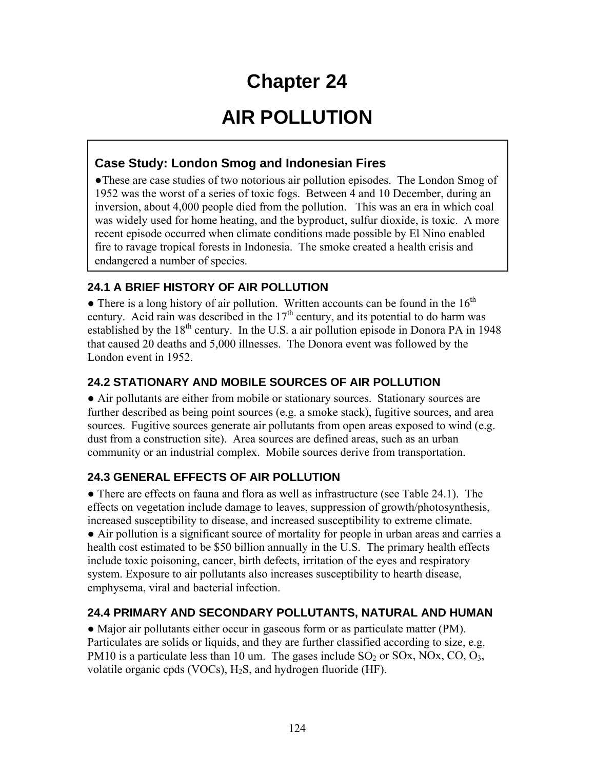# **Chapter 24**

# **AIR POLLUTION**

# **Case Study: London Smog and Indonesian Fires**

●These are case studies of two notorious air pollution episodes. The London Smog of 1952 was the worst of a series of toxic fogs. Between 4 and 10 December, during an inversion, about 4,000 people died from the pollution. This was an era in which coal was widely used for home heating, and the byproduct, sulfur dioxide, is toxic. A more recent episode occurred when climate conditions made possible by El Nino enabled fire to ravage tropical forests in Indonesia. The smoke created a health crisis and endangered a number of species.

## **24.1 A BRIEF HISTORY OF AIR POLLUTION**

• There is a long history of air pollution. Written accounts can be found in the  $16<sup>th</sup>$ century. Acid rain was described in the  $17<sup>th</sup>$  century, and its potential to do harm was established by the  $18<sup>th</sup>$  century. In the U.S. a air pollution episode in Donora PA in 1948 that caused 20 deaths and 5,000 illnesses. The Donora event was followed by the London event in 1952.

## **24.2 STATIONARY AND MOBILE SOURCES OF AIR POLLUTION**

● Air pollutants are either from mobile or stationary sources. Stationary sources are further described as being point sources (e.g. a smoke stack), fugitive sources, and area sources. Fugitive sources generate air pollutants from open areas exposed to wind (e.g. dust from a construction site). Area sources are defined areas, such as an urban community or an industrial complex. Mobile sources derive from transportation.

# **24.3 GENERAL EFFECTS OF AIR POLLUTION**

• There are effects on fauna and flora as well as infrastructure (see Table 24.1). The effects on vegetation include damage to leaves, suppression of growth/photosynthesis, increased susceptibility to disease, and increased susceptibility to extreme climate. ● Air pollution is a significant source of mortality for people in urban areas and carries a health cost estimated to be \$50 billion annually in the U.S. The primary health effects include toxic poisoning, cancer, birth defects, irritation of the eyes and respiratory system. Exposure to air pollutants also increases susceptibility to hearth disease, emphysema, viral and bacterial infection.

### **24.4 PRIMARY AND SECONDARY POLLUTANTS, NATURAL AND HUMAN**

● Major air pollutants either occur in gaseous form or as particulate matter (PM). Particulates are solids or liquids, and they are further classified according to size, e.g. PM10 is a particulate less than 10 um. The gases include  $SO_2$  or  $SOx$ ,  $NOX$ ,  $CO$ ,  $O_3$ , volatile organic cpds (VOCs),  $H_2S$ , and hydrogen fluoride (HF).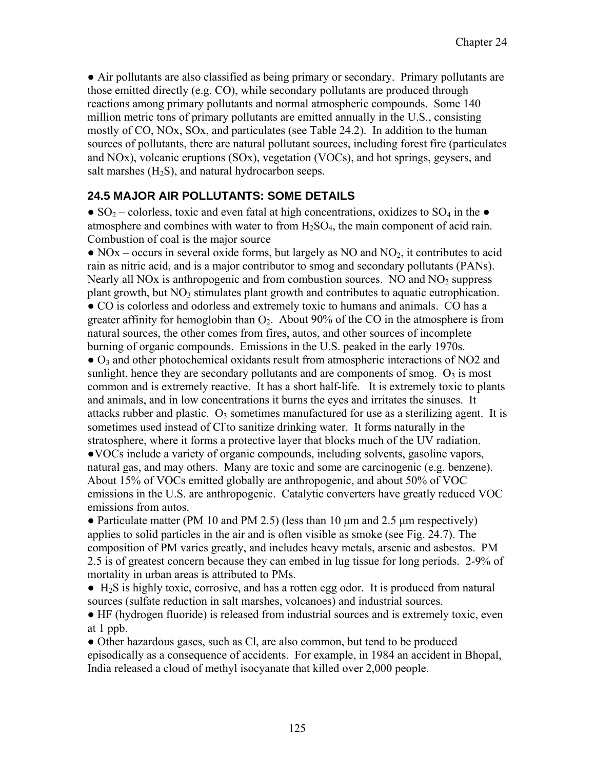● Air pollutants are also classified as being primary or secondary. Primary pollutants are those emitted directly (e.g. CO), while secondary pollutants are produced through reactions among primary pollutants and normal atmospheric compounds. Some 140 million metric tons of primary pollutants are emitted annually in the U.S., consisting mostly of CO, NOx, SOx, and particulates (see Table 24.2). In addition to the human sources of pollutants, there are natural pollutant sources, including forest fire (particulates and NOx), volcanic eruptions (SOx), vegetation (VOCs), and hot springs, geysers, and salt marshes  $(H_2S)$ , and natural hydrocarbon seeps.

#### **24.5 MAJOR AIR POLLUTANTS: SOME DETAILS**

• SO<sub>2</sub> – colorless, toxic and even fatal at high concentrations, oxidizes to SO<sub>4</sub> in the • atmosphere and combines with water to from  $H_2SO_4$ , the main component of acid rain. Combustion of coal is the major source

 $\bullet$  NOx – occurs in several oxide forms, but largely as NO and NO<sub>2</sub>, it contributes to acid rain as nitric acid, and is a major contributor to smog and secondary pollutants (PANs). Nearly all NO<sub>x</sub> is anthropogenic and from combustion sources. NO and NO<sub>2</sub> suppress plant growth, but  $NO<sub>3</sub>$  stimulates plant growth and contributes to aquatic eutrophication. ● CO is colorless and odorless and extremely toxic to humans and animals. CO has a greater affinity for hemoglobin than  $O_2$ . About 90% of the CO in the atmosphere is from natural sources, the other comes from fires, autos, and other sources of incomplete burning of organic compounds. Emissions in the U.S. peaked in the early 1970s.

● O3 and other photochemical oxidants result from atmospheric interactions of NO2 and sunlight, hence they are secondary pollutants and are components of smog.  $O_3$  is most common and is extremely reactive. It has a short half-life. It is extremely toxic to plants and animals, and in low concentrations it burns the eyes and irritates the sinuses. It attacks rubber and plastic.  $O_3$  sometimes manufactured for use as a sterilizing agent. It is sometimes used instead of Cl to sanitize drinking water. It forms naturally in the stratosphere, where it forms a protective layer that blocks much of the UV radiation. ●VOCs include a variety of organic compounds, including solvents, gasoline vapors, natural gas, and may others. Many are toxic and some are carcinogenic (e.g. benzene). About 15% of VOCs emitted globally are anthropogenic, and about 50% of VOC emissions in the U.S. are anthropogenic. Catalytic converters have greatly reduced VOC emissions from autos.

• Particulate matter (PM 10 and PM 2.5) (less than 10 µm and 2.5 µm respectively) applies to solid particles in the air and is often visible as smoke (see Fig. 24.7). The composition of PM varies greatly, and includes heavy metals, arsenic and asbestos. PM 2.5 is of greatest concern because they can embed in lug tissue for long periods. 2-9% of mortality in urban areas is attributed to PMs.

 $\bullet$  H<sub>2</sub>S is highly toxic, corrosive, and has a rotten egg odor. It is produced from natural sources (sulfate reduction in salt marshes, volcanoes) and industrial sources.

● HF (hydrogen fluoride) is released from industrial sources and is extremely toxic, even at 1 ppb.

• Other hazardous gases, such as Cl, are also common, but tend to be produced episodically as a consequence of accidents. For example, in 1984 an accident in Bhopal, India released a cloud of methyl isocyanate that killed over 2,000 people.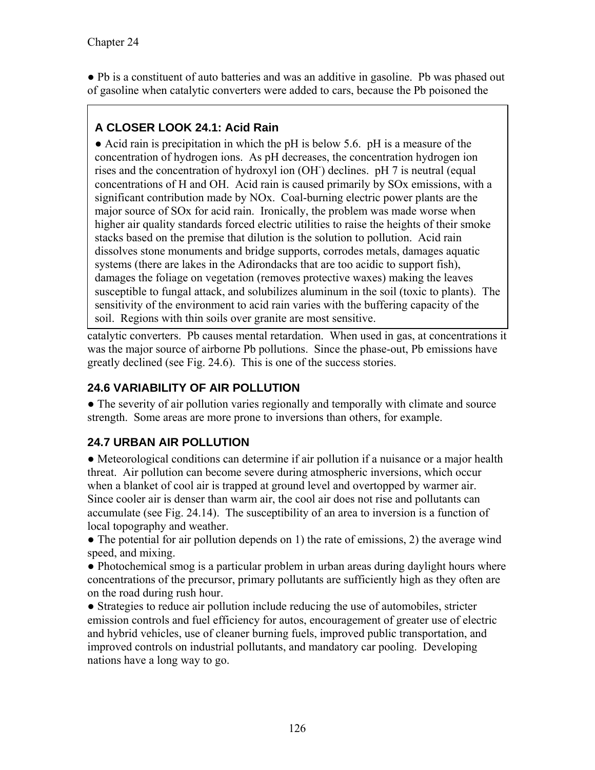• Pb is a constituent of auto batteries and was an additive in gasoline. Pb was phased out of gasoline when catalytic converters were added to cars, because the Pb poisoned the

# **A CLOSER LOOK 24.1: Acid Rain**

● Acid rain is precipitation in which the pH is below 5.6. pH is a measure of the concentration of hydrogen ions. As pH decreases, the concentration hydrogen ion rises and the concentration of hydroxyl ion (OH- ) declines. pH 7 is neutral (equal concentrations of H and OH. Acid rain is caused primarily by SOx emissions, with a significant contribution made by NOx. Coal-burning electric power plants are the major source of SOx for acid rain. Ironically, the problem was made worse when higher air quality standards forced electric utilities to raise the heights of their smoke stacks based on the premise that dilution is the solution to pollution. Acid rain dissolves stone monuments and bridge supports, corrodes metals, damages aquatic systems (there are lakes in the Adirondacks that are too acidic to support fish), damages the foliage on vegetation (removes protective waxes) making the leaves susceptible to fungal attack, and solubilizes aluminum in the soil (toxic to plants). The sensitivity of the environment to acid rain varies with the buffering capacity of the soil. Regions with thin soils over granite are most sensitive.

catalytic converters. Pb causes mental retardation. When used in gas, at concentrations it was the major source of airborne Pb pollutions. Since the phase-out, Pb emissions have greatly declined (see Fig. 24.6). This is one of the success stories.

## **24.6 VARIABILITY OF AIR POLLUTION**

• The severity of air pollution varies regionally and temporally with climate and source strength. Some areas are more prone to inversions than others, for example.

# **24.7 URBAN AIR POLLUTION**

• Meteorological conditions can determine if air pollution if a nuisance or a major health threat. Air pollution can become severe during atmospheric inversions, which occur when a blanket of cool air is trapped at ground level and overtopped by warmer air. Since cooler air is denser than warm air, the cool air does not rise and pollutants can accumulate (see Fig. 24.14). The susceptibility of an area to inversion is a function of local topography and weather.

• The potential for air pollution depends on 1) the rate of emissions, 2) the average wind speed, and mixing.

• Photochemical smog is a particular problem in urban areas during daylight hours where concentrations of the precursor, primary pollutants are sufficiently high as they often are on the road during rush hour.

• Strategies to reduce air pollution include reducing the use of automobiles, stricter emission controls and fuel efficiency for autos, encouragement of greater use of electric and hybrid vehicles, use of cleaner burning fuels, improved public transportation, and improved controls on industrial pollutants, and mandatory car pooling. Developing nations have a long way to go.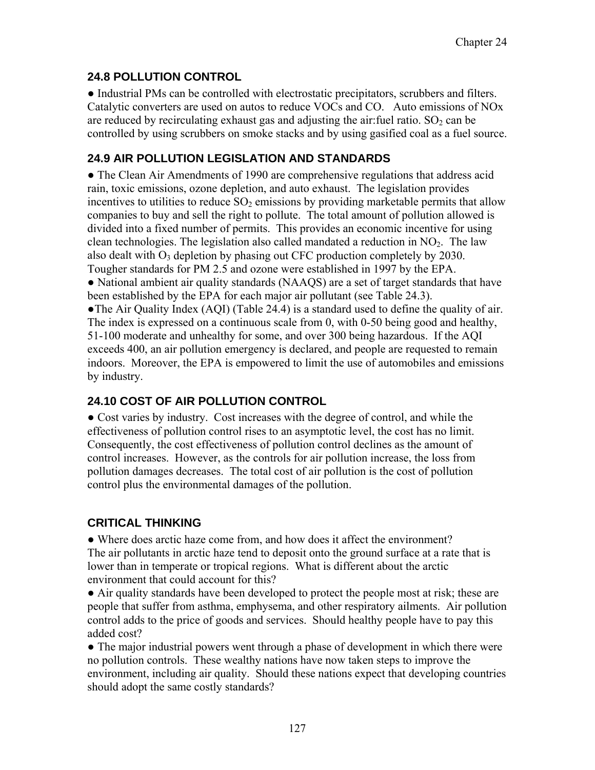#### **24.8 POLLUTION CONTROL**

● Industrial PMs can be controlled with electrostatic precipitators, scrubbers and filters. Catalytic converters are used on autos to reduce VOCs and CO. Auto emissions of NOx are reduced by recirculating exhaust gas and adjusting the air: fuel ratio.  $SO<sub>2</sub>$  can be controlled by using scrubbers on smoke stacks and by using gasified coal as a fuel source.

#### **24.9 AIR POLLUTION LEGISLATION AND STANDARDS**

● The Clean Air Amendments of 1990 are comprehensive regulations that address acid rain, toxic emissions, ozone depletion, and auto exhaust. The legislation provides incentives to utilities to reduce  $SO<sub>2</sub>$  emissions by providing marketable permits that allow companies to buy and sell the right to pollute. The total amount of pollution allowed is divided into a fixed number of permits. This provides an economic incentive for using clean technologies. The legislation also called mandated a reduction in  $NO<sub>2</sub>$ . The law also dealt with  $O_3$  depletion by phasing out CFC production completely by 2030. Tougher standards for PM 2.5 and ozone were established in 1997 by the EPA.

• National ambient air quality standards (NAAQS) are a set of target standards that have been established by the EPA for each major air pollutant (see Table 24.3).

●The Air Quality Index (AQI) (Table 24.4) is a standard used to define the quality of air. The index is expressed on a continuous scale from 0, with 0-50 being good and healthy, 51-100 moderate and unhealthy for some, and over 300 being hazardous. If the AQI exceeds 400, an air pollution emergency is declared, and people are requested to remain indoors. Moreover, the EPA is empowered to limit the use of automobiles and emissions by industry.

### **24.10 COST OF AIR POLLUTION CONTROL**

● Cost varies by industry. Cost increases with the degree of control, and while the effectiveness of pollution control rises to an asymptotic level, the cost has no limit. Consequently, the cost effectiveness of pollution control declines as the amount of control increases. However, as the controls for air pollution increase, the loss from pollution damages decreases. The total cost of air pollution is the cost of pollution control plus the environmental damages of the pollution.

### **CRITICAL THINKING**

• Where does arctic haze come from, and how does it affect the environment? The air pollutants in arctic haze tend to deposit onto the ground surface at a rate that is lower than in temperate or tropical regions. What is different about the arctic environment that could account for this?

● Air quality standards have been developed to protect the people most at risk; these are people that suffer from asthma, emphysema, and other respiratory ailments. Air pollution control adds to the price of goods and services. Should healthy people have to pay this added cost?

• The major industrial powers went through a phase of development in which there were no pollution controls. These wealthy nations have now taken steps to improve the environment, including air quality. Should these nations expect that developing countries should adopt the same costly standards?